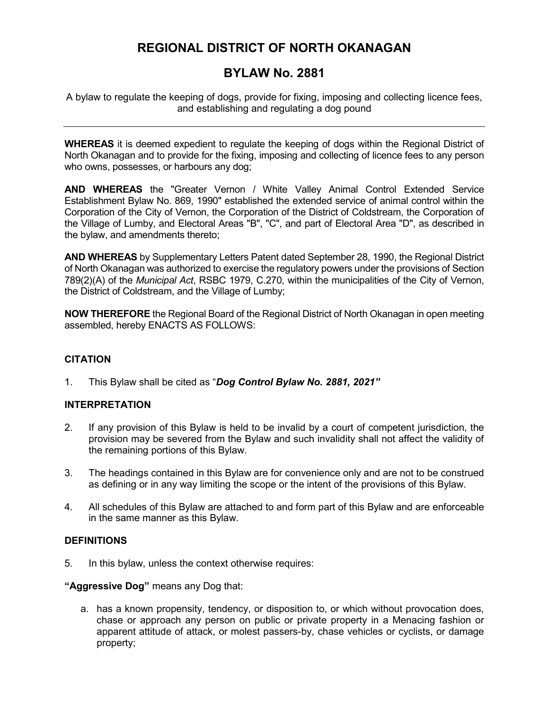# **REGIONAL DISTRICT OF NORTH OKANAGAN**

# **BYLAW No. 2881**

A bylaw to regulate the keeping of dogs, provide for fixing, imposing and collecting licence fees, and establishing and regulating a dog pound

**WHEREAS** it is deemed expedient to regulate the keeping of dogs within the Regional District of North Okanagan and to provide for the fixing, imposing and collecting of licence fees to any person who owns, possesses, or harbours any dog;

**AND WHEREAS** the "Greater Vernon / White Valley Animal Control Extended Service Establishment Bylaw No. 869, 1990" established the extended service of animal control within the Corporation of the City of Vernon, the Corporation of the District of Coldstream, the Corporation of the Village of Lumby, and Electoral Areas "B", "C", and part of Electoral Area "D", as described in the bylaw, and amendments thereto;

**AND WHEREAS** by Supplementary Letters Patent dated September 28, 1990, the Regional District of North Okanagan was authorized to exercise the regulatory powers under the provisions of Section 789(2)(A) of the *Municipal Act*, RSBC 1979, C.270, within the municipalities of the City of Vernon, the District of Coldstream, and the Village of Lumby;

**NOW THEREFORE** the Regional Board of the Regional District of North Okanagan in open meeting assembled, hereby ENACTS AS FOLLOWS:

## **CITATION**

1. This Bylaw shall be cited as "*Dog Control Bylaw No. 2881, 2021"*

## **INTERPRETATION**

- 2. If any provision of this Bylaw is held to be invalid by a court of competent jurisdiction, the provision may be severed from the Bylaw and such invalidity shall not affect the validity of the remaining portions of this Bylaw.
- 3. The headings contained in this Bylaw are for convenience only and are not to be construed as defining or in any way limiting the scope or the intent of the provisions of this Bylaw.
- 4. All schedules of this Bylaw are attached to and form part of this Bylaw and are enforceable in the same manner as this Bylaw.

## **DEFINITIONS**

5. In this bylaw, unless the context otherwise requires:

## **"Aggressive Dog"** means any Dog that:

a. has a known propensity, tendency, or disposition to, or which without provocation does, chase or approach any person on public or private property in a Menacing fashion or apparent attitude of attack, or molest passers-by, chase vehicles or cyclists, or damage property;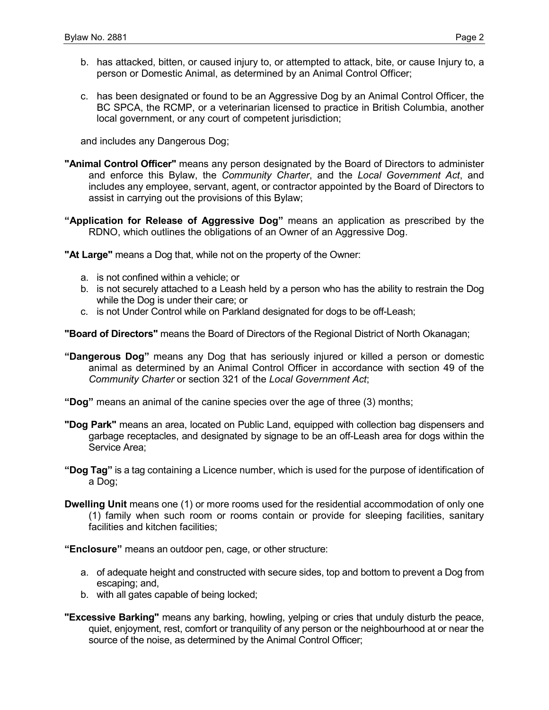- b. has attacked, bitten, or caused injury to, or attempted to attack, bite, or cause Injury to, a person or Domestic Animal, as determined by an Animal Control Officer;
- c. has been designated or found to be an Aggressive Dog by an Animal Control Officer, the BC SPCA, the RCMP, or a veterinarian licensed to practice in British Columbia, another local government, or any court of competent jurisdiction;

and includes any Dangerous Dog;

- **"Animal Control Officer"** means any person designated by the Board of Directors to administer and enforce this Bylaw, the *Community Charter*, and the *Local Government Act*, and includes any employee, servant, agent, or contractor appointed by the Board of Directors to assist in carrying out the provisions of this Bylaw;
- **"Application for Release of Aggressive Dog"** means an application as prescribed by the RDNO, which outlines the obligations of an Owner of an Aggressive Dog.

**"At Large"** means a Dog that, while not on the property of the Owner:

- a. is not confined within a vehicle; or
- b. is not securely attached to a Leash held by a person who has the ability to restrain the Dog while the Dog is under their care; or
- c. is not Under Control while on Parkland designated for dogs to be off-Leash;

**"Board of Directors"** means the Board of Directors of the Regional District of North Okanagan;

**"Dangerous Dog"** means any Dog that has seriously injured or killed a person or domestic animal as determined by an Animal Control Officer in accordance with section 49 of the *Community Charter* or section 321 of the *Local Government Act*;

**"Dog"** means an animal of the canine species over the age of three (3) months;

- **"Dog Park"** means an area, located on Public Land, equipped with collection bag dispensers and garbage receptacles, and designated by signage to be an off-Leash area for dogs within the Service Area;
- **"Dog Tag"** is a tag containing a Licence number, which is used for the purpose of identification of a Dog;
- **Dwelling Unit** means one (1) or more rooms used for the residential accommodation of only one (1) family when such room or rooms contain or provide for sleeping facilities, sanitary facilities and kitchen facilities;

**"Enclosure"** means an outdoor pen, cage, or other structure:

- a. of adequate height and constructed with secure sides, top and bottom to prevent a Dog from escaping; and,
- b. with all gates capable of being locked;
- **"Excessive Barking"** means any barking, howling, yelping or cries that unduly disturb the peace, quiet, enjoyment, rest, comfort or tranquility of any person or the neighbourhood at or near the source of the noise, as determined by the Animal Control Officer;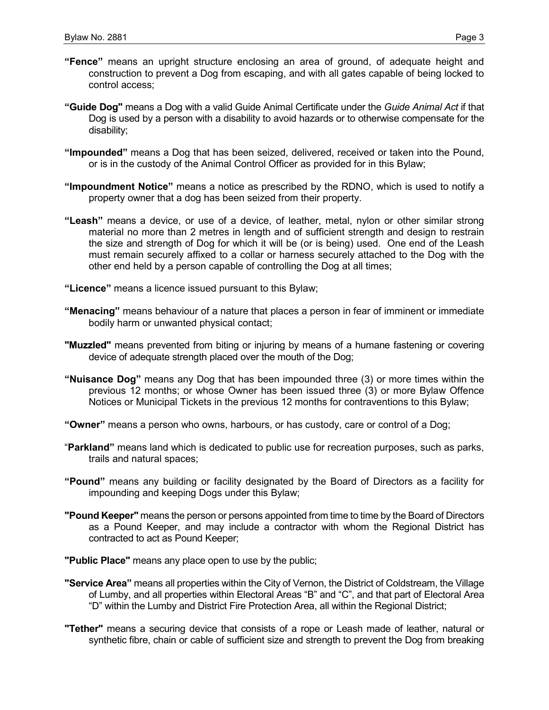- **"Fence"** means an upright structure enclosing an area of ground, of adequate height and construction to prevent a Dog from escaping, and with all gates capable of being locked to control access;
- **"Guide Dog"** means a Dog with a valid Guide Animal Certificate under the *Guide Animal Act* if that Dog is used by a person with a disability to avoid hazards or to otherwise compensate for the disability;
- **"Impounded"** means a Dog that has been seized, delivered, received or taken into the Pound, or is in the custody of the Animal Control Officer as provided for in this Bylaw;
- **"Impoundment Notice"** means a notice as prescribed by the RDNO, which is used to notify a property owner that a dog has been seized from their property.
- **"Leash"** means a device, or use of a device, of leather, metal, nylon or other similar strong material no more than 2 metres in length and of sufficient strength and design to restrain the size and strength of Dog for which it will be (or is being) used. One end of the Leash must remain securely affixed to a collar or harness securely attached to the Dog with the other end held by a person capable of controlling the Dog at all times;
- **"Licence"** means a licence issued pursuant to this Bylaw;
- **"Menacing"** means behaviour of a nature that places a person in fear of imminent or immediate bodily harm or unwanted physical contact;
- **"Muzzled"** means prevented from biting or injuring by means of a humane fastening or covering device of adequate strength placed over the mouth of the Dog;
- **"Nuisance Dog"** means any Dog that has been impounded three (3) or more times within the previous 12 months; or whose Owner has been issued three (3) or more Bylaw Offence Notices or Municipal Tickets in the previous 12 months for contraventions to this Bylaw;
- **"Owner"** means a person who owns, harbours, or has custody, care or control of a Dog;
- "**Parkland"** means land which is dedicated to public use for recreation purposes, such as parks, trails and natural spaces;
- **"Pound"** means any building or facility designated by the Board of Directors as a facility for impounding and keeping Dogs under this Bylaw;
- **"Pound Keeper"** means the person or persons appointed from time to time by the Board of Directors as a Pound Keeper, and may include a contractor with whom the Regional District has contracted to act as Pound Keeper;
- **"Public Place"** means any place open to use by the public;
- **"Service Area"** means all properties within the City of Vernon, the District of Coldstream, the Village of Lumby, and all properties within Electoral Areas "B" and "C", and that part of Electoral Area "D" within the Lumby and District Fire Protection Area, all within the Regional District;
- **"Tether"** means a securing device that consists of a rope or Leash made of leather, natural or synthetic fibre, chain or cable of sufficient size and strength to prevent the Dog from breaking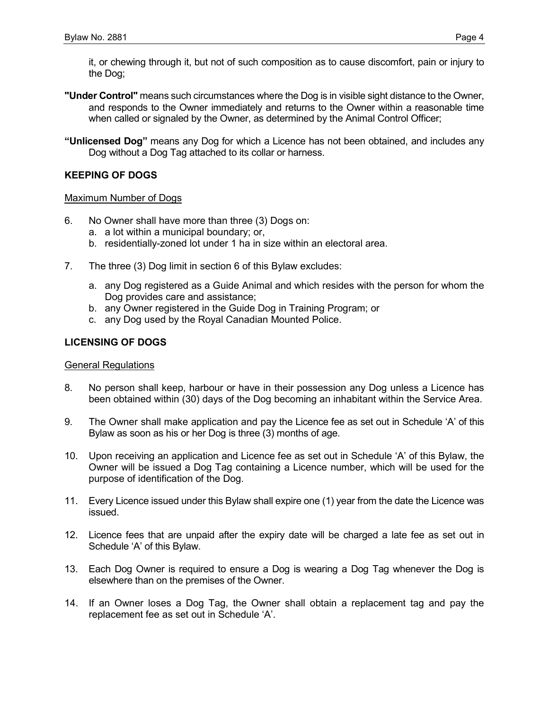it, or chewing through it, but not of such composition as to cause discomfort, pain or injury to the Dog;

- **"Under Control"** means such circumstances where the Dog is in visible sight distance to the Owner, and responds to the Owner immediately and returns to the Owner within a reasonable time when called or signaled by the Owner, as determined by the Animal Control Officer;
- **"Unlicensed Dog"** means any Dog for which a Licence has not been obtained, and includes any Dog without a Dog Tag attached to its collar or harness.

## **KEEPING OF DOGS**

#### Maximum Number of Dogs

- 6. No Owner shall have more than three (3) Dogs on:
	- a. a lot within a municipal boundary; or,
	- b. residentially-zoned lot under 1 ha in size within an electoral area.
- 7. The three (3) Dog limit in section 6 of this Bylaw excludes:
	- a. any Dog registered as a Guide Animal and which resides with the person for whom the Dog provides care and assistance;
	- b. any Owner registered in the Guide Dog in Training Program; or
	- c. any Dog used by the Royal Canadian Mounted Police.

## **LICENSING OF DOGS**

#### General Regulations

- 8. No person shall keep, harbour or have in their possession any Dog unless a Licence has been obtained within (30) days of the Dog becoming an inhabitant within the Service Area.
- 9. The Owner shall make application and pay the Licence fee as set out in Schedule 'A' of this Bylaw as soon as his or her Dog is three (3) months of age.
- 10. Upon receiving an application and Licence fee as set out in Schedule 'A' of this Bylaw, the Owner will be issued a Dog Tag containing a Licence number, which will be used for the purpose of identification of the Dog.
- 11. Every Licence issued under this Bylaw shall expire one (1) year from the date the Licence was issued.
- 12. Licence fees that are unpaid after the expiry date will be charged a late fee as set out in Schedule 'A' of this Bylaw.
- 13. Each Dog Owner is required to ensure a Dog is wearing a Dog Tag whenever the Dog is elsewhere than on the premises of the Owner.
- 14. If an Owner loses a Dog Tag, the Owner shall obtain a replacement tag and pay the replacement fee as set out in Schedule 'A'.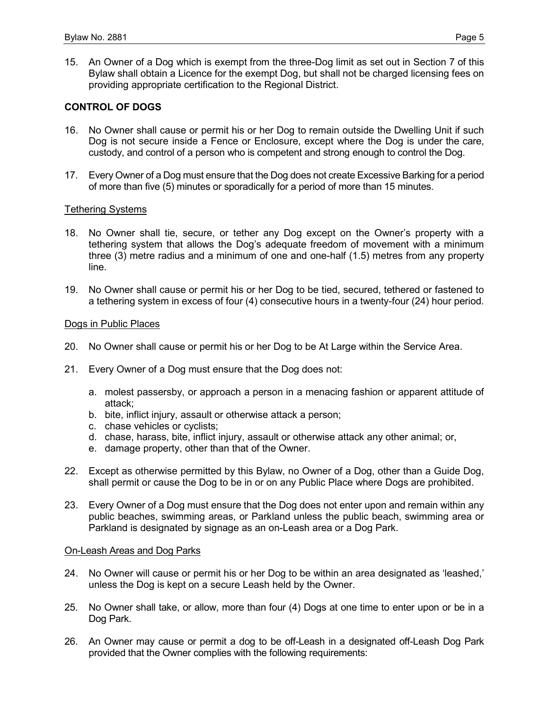15. An Owner of a Dog which is exempt from the three-Dog limit as set out in Section 7 of this Bylaw shall obtain a Licence for the exempt Dog, but shall not be charged licensing fees on providing appropriate certification to the Regional District.

#### **CONTROL OF DOGS**

- 16. No Owner shall cause or permit his or her Dog to remain outside the Dwelling Unit if such Dog is not secure inside a Fence or Enclosure, except where the Dog is under the care, custody, and control of a person who is competent and strong enough to control the Dog.
- 17. Every Owner of a Dog must ensure that the Dog does not create Excessive Barking for a period of more than five (5) minutes or sporadically for a period of more than 15 minutes.

#### Tethering Systems

- 18. No Owner shall tie, secure, or tether any Dog except on the Owner's property with a tethering system that allows the Dog's adequate freedom of movement with a minimum three (3) metre radius and a minimum of one and one-half (1.5) metres from any property line.
- 19. No Owner shall cause or permit his or her Dog to be tied, secured, tethered or fastened to a tethering system in excess of four (4) consecutive hours in a twenty-four (24) hour period.

#### Dogs in Public Places

- 20. No Owner shall cause or permit his or her Dog to be At Large within the Service Area.
- 21. Every Owner of a Dog must ensure that the Dog does not:
	- a. molest passersby, or approach a person in a menacing fashion or apparent attitude of attack;
	- b. bite, inflict injury, assault or otherwise attack a person;
	- c. chase vehicles or cyclists;
	- d. chase, harass, bite, inflict injury, assault or otherwise attack any other animal; or,
	- e. damage property, other than that of the Owner.
- 22. Except as otherwise permitted by this Bylaw, no Owner of a Dog, other than a Guide Dog, shall permit or cause the Dog to be in or on any Public Place where Dogs are prohibited.
- 23. Every Owner of a Dog must ensure that the Dog does not enter upon and remain within any public beaches, swimming areas, or Parkland unless the public beach, swimming area or Parkland is designated by signage as an on-Leash area or a Dog Park.

#### On-Leash Areas and Dog Parks

- 24. No Owner will cause or permit his or her Dog to be within an area designated as 'leashed,' unless the Dog is kept on a secure Leash held by the Owner.
- 25. No Owner shall take, or allow, more than four (4) Dogs at one time to enter upon or be in a Dog Park.
- 26. An Owner may cause or permit a dog to be off-Leash in a designated off-Leash Dog Park provided that the Owner complies with the following requirements: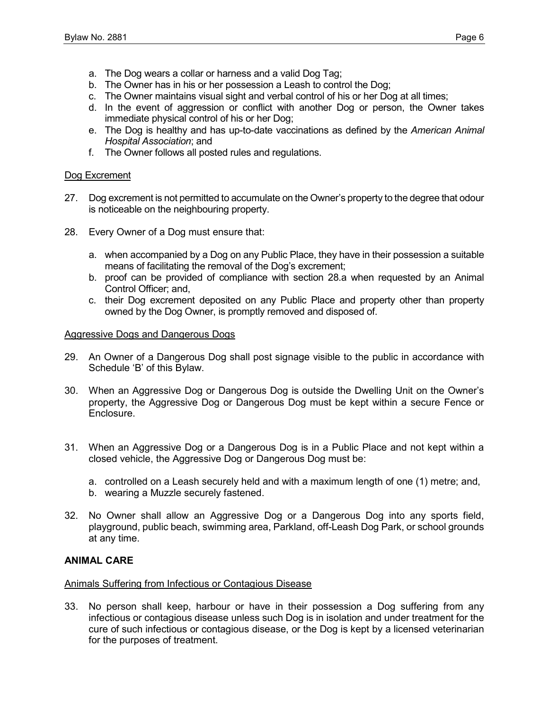- a. The Dog wears a collar or harness and a valid Dog Tag;
- b. The Owner has in his or her possession a Leash to control the Dog;
- c. The Owner maintains visual sight and verbal control of his or her Dog at all times;
- d. In the event of aggression or conflict with another Dog or person, the Owner takes immediate physical control of his or her Dog;
- e. The Dog is healthy and has up-to-date vaccinations as defined by the *American Animal Hospital Association*; and
- f. The Owner follows all posted rules and regulations.

#### Dog Excrement

- 27. Dog excrement is not permitted to accumulate on the Owner's property to the degree that odour is noticeable on the neighbouring property.
- 28. Every Owner of a Dog must ensure that:
	- a. when accompanied by a Dog on any Public Place, they have in their possession a suitable means of facilitating the removal of the Dog's excrement;
	- b. proof can be provided of compliance with section 28.a when requested by an Animal Control Officer; and,
	- c. their Dog excrement deposited on any Public Place and property other than property owned by the Dog Owner, is promptly removed and disposed of.

#### Aggressive Dogs and Dangerous Dogs

- 29. An Owner of a Dangerous Dog shall post signage visible to the public in accordance with Schedule 'B' of this Bylaw.
- 30. When an Aggressive Dog or Dangerous Dog is outside the Dwelling Unit on the Owner's property, the Aggressive Dog or Dangerous Dog must be kept within a secure Fence or Enclosure.
- 31. When an Aggressive Dog or a Dangerous Dog is in a Public Place and not kept within a closed vehicle, the Aggressive Dog or Dangerous Dog must be:
	- a. controlled on a Leash securely held and with a maximum length of one (1) metre; and,
	- b. wearing a Muzzle securely fastened.
- 32. No Owner shall allow an Aggressive Dog or a Dangerous Dog into any sports field, playground, public beach, swimming area, Parkland, off-Leash Dog Park, or school grounds at any time.

## **ANIMAL CARE**

#### Animals Suffering from Infectious or Contagious Disease

33. No person shall keep, harbour or have in their possession a Dog suffering from any infectious or contagious disease unless such Dog is in isolation and under treatment for the cure of such infectious or contagious disease, or the Dog is kept by a licensed veterinarian for the purposes of treatment.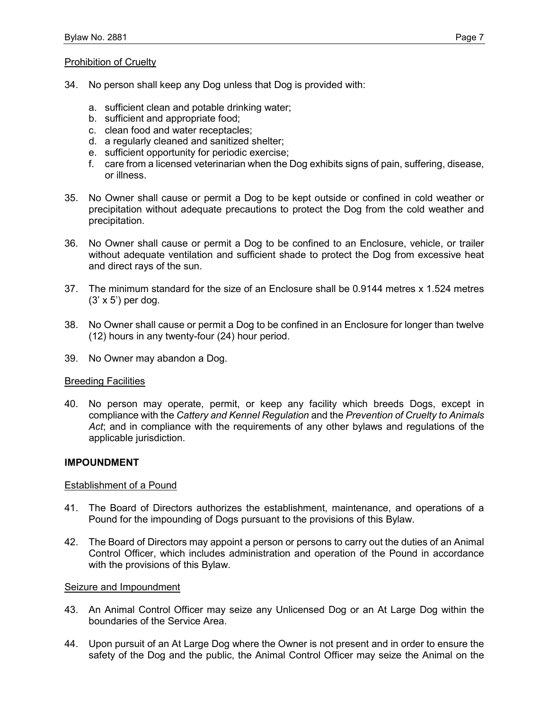#### Prohibition of Cruelty

- 34. No person shall keep any Dog unless that Dog is provided with:
	- a. sufficient clean and potable drinking water;
	- b. sufficient and appropriate food;
	- c. clean food and water receptacles;
	- d. a regularly cleaned and sanitized shelter;
	- e. sufficient opportunity for periodic exercise;
	- f. care from a licensed veterinarian when the Dog exhibits signs of pain, suffering, disease, or illness.
- 35. No Owner shall cause or permit a Dog to be kept outside or confined in cold weather or precipitation without adequate precautions to protect the Dog from the cold weather and precipitation.
- 36. No Owner shall cause or permit a Dog to be confined to an Enclosure, vehicle, or trailer without adequate ventilation and sufficient shade to protect the Dog from excessive heat and direct rays of the sun.
- 37. The minimum standard for the size of an Enclosure shall be 0.9144 metres x 1.524 metres (3' x 5') per dog.
- 38. No Owner shall cause or permit a Dog to be confined in an Enclosure for longer than twelve (12) hours in any twenty-four (24) hour period.
- 39. No Owner may abandon a Dog.

#### Breeding Facilities

40. No person may operate, permit, or keep any facility which breeds Dogs, except in compliance with the *Cattery and Kennel Regulation* and the *Prevention of Cruelty to Animals Act*; and in compliance with the requirements of any other bylaws and regulations of the applicable jurisdiction.

#### **IMPOUNDMENT**

#### Establishment of a Pound

- 41. The Board of Directors authorizes the establishment, maintenance, and operations of a Pound for the impounding of Dogs pursuant to the provisions of this Bylaw.
- 42. The Board of Directors may appoint a person or persons to carry out the duties of an Animal Control Officer, which includes administration and operation of the Pound in accordance with the provisions of this Bylaw.

#### Seizure and Impoundment

- 43. An Animal Control Officer may seize any Unlicensed Dog or an At Large Dog within the boundaries of the Service Area.
- 44. Upon pursuit of an At Large Dog where the Owner is not present and in order to ensure the safety of the Dog and the public, the Animal Control Officer may seize the Animal on the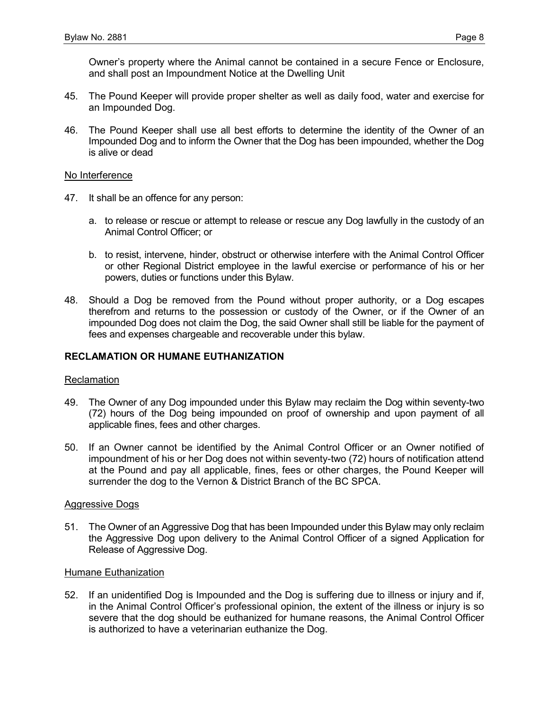- 45. The Pound Keeper will provide proper shelter as well as daily food, water and exercise for an Impounded Dog.
- 46. The Pound Keeper shall use all best efforts to determine the identity of the Owner of an Impounded Dog and to inform the Owner that the Dog has been impounded, whether the Dog is alive or dead

#### No Interference

- 47. It shall be an offence for any person:
	- a. to release or rescue or attempt to release or rescue any Dog lawfully in the custody of an Animal Control Officer; or
	- b. to resist, intervene, hinder, obstruct or otherwise interfere with the Animal Control Officer or other Regional District employee in the lawful exercise or performance of his or her powers, duties or functions under this Bylaw.
- 48. Should a Dog be removed from the Pound without proper authority, or a Dog escapes therefrom and returns to the possession or custody of the Owner, or if the Owner of an impounded Dog does not claim the Dog, the said Owner shall still be liable for the payment of fees and expenses chargeable and recoverable under this bylaw.

## **RECLAMATION OR HUMANE EUTHANIZATION**

#### Reclamation

- 49. The Owner of any Dog impounded under this Bylaw may reclaim the Dog within seventy-two (72) hours of the Dog being impounded on proof of ownership and upon payment of all applicable fines, fees and other charges.
- 50. If an Owner cannot be identified by the Animal Control Officer or an Owner notified of impoundment of his or her Dog does not within seventy-two (72) hours of notification attend at the Pound and pay all applicable, fines, fees or other charges, the Pound Keeper will surrender the dog to the Vernon & District Branch of the BC SPCA.

#### Aggressive Dogs

51. The Owner of an Aggressive Dog that has been Impounded under this Bylaw may only reclaim the Aggressive Dog upon delivery to the Animal Control Officer of a signed Application for Release of Aggressive Dog.

#### Humane Euthanization

52. If an unidentified Dog is Impounded and the Dog is suffering due to illness or injury and if, in the Animal Control Officer's professional opinion, the extent of the illness or injury is so severe that the dog should be euthanized for humane reasons, the Animal Control Officer is authorized to have a veterinarian euthanize the Dog.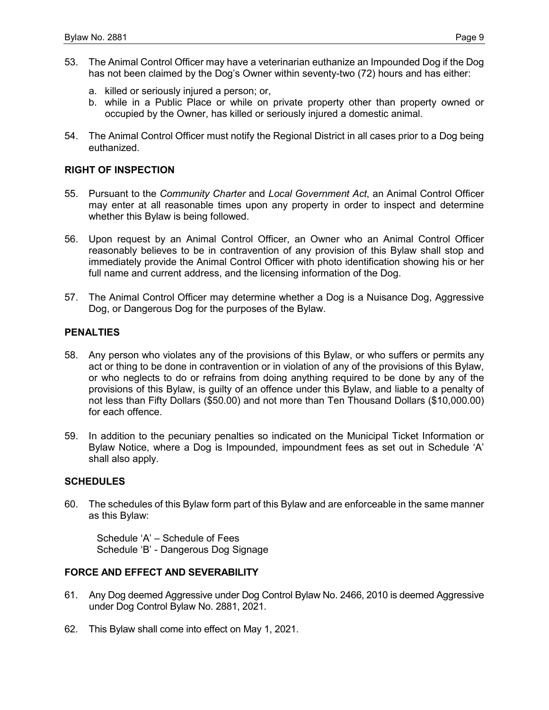- 53. The Animal Control Officer may have a veterinarian euthanize an Impounded Dog if the Dog has not been claimed by the Dog's Owner within seventy-two (72) hours and has either:
	- a. killed or seriously injured a person; or,
	- b. while in a Public Place or while on private property other than property owned or occupied by the Owner, has killed or seriously injured a domestic animal.
- 54. The Animal Control Officer must notify the Regional District in all cases prior to a Dog being euthanized.

## **RIGHT OF INSPECTION**

- 55. Pursuant to the *Community Charter* and *Local Government Act*, an Animal Control Officer may enter at all reasonable times upon any property in order to inspect and determine whether this Bylaw is being followed.
- 56. Upon request by an Animal Control Officer, an Owner who an Animal Control Officer reasonably believes to be in contravention of any provision of this Bylaw shall stop and immediately provide the Animal Control Officer with photo identification showing his or her full name and current address, and the licensing information of the Dog.
- 57. The Animal Control Officer may determine whether a Dog is a Nuisance Dog, Aggressive Dog, or Dangerous Dog for the purposes of the Bylaw.

#### **PENALTIES**

- 58. Any person who violates any of the provisions of this Bylaw, or who suffers or permits any act or thing to be done in contravention or in violation of any of the provisions of this Bylaw, or who neglects to do or refrains from doing anything required to be done by any of the provisions of this Bylaw, is guilty of an offence under this Bylaw, and liable to a penalty of not less than Fifty Dollars (\$50.00) and not more than Ten Thousand Dollars (\$10,000.00) for each offence.
- 59. In addition to the pecuniary penalties so indicated on the Municipal Ticket Information or Bylaw Notice, where a Dog is Impounded, impoundment fees as set out in Schedule 'A' shall also apply.

#### **SCHEDULES**

60. The schedules of this Bylaw form part of this Bylaw and are enforceable in the same manner as this Bylaw:

Schedule 'A' – Schedule of Fees Schedule 'B' - Dangerous Dog Signage

## **FORCE AND EFFECT AND SEVERABILITY**

- 61. Any Dog deemed Aggressive under Dog Control Bylaw No. 2466, 2010 is deemed Aggressive under Dog Control Bylaw No. 2881, 2021.
- 62. This Bylaw shall come into effect on May 1, 2021.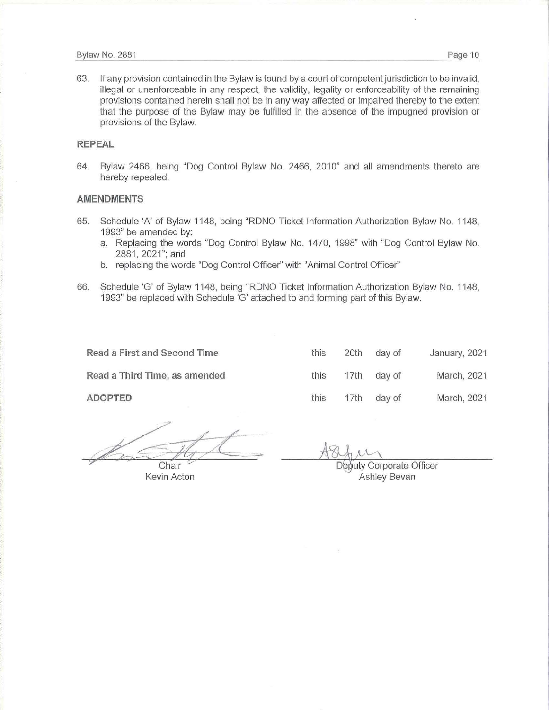63. If any provision contained in the Bylaw is found by a court of competent jurisdiction to be invalid, illegal or unenforceable in any respect, the validity, legality or enforceability of the remaining provisions contained herein shall not be in any way affected or impaired thereby to the extent that the purpose of the Bylaw may be fulfilled in the absence of the impugned provision or provisions of the Bylaw.

#### **REPEAL**

64. Bylaw 2466, being "Dog Control Bylaw No. 2466, 2010" and all amendments thereto are hereby repealed.

#### **AMENDMENTS**

- 65. Schedule 'A' of Bylaw 1148, being "RDNO Ticket Information Authorization Bylaw No. 1148, 1993" be amended by:
	- a. Replacing the words "Dog Control Bylaw No. 1470, 1998" with "Dog Control Bylaw No. 2881, 2021"; and
	- b. replacing the words "Dog Control Officer'' with "Animal Control Officer"
- 66. Schedule 'G' of Bylaw 1148, being "RDNO Ticket Information Authorization Bylaw No. 1148, 1993" be replaced with Schedule 'G' attached to and forming part of this Bylaw.

**Read a First and Second Time** 

**Read a Third Time, as amended** 

**ADOPTED** 

*'?'* Chair

Kevin Acton

| this | 20th | day of | January, 2021 |
|------|------|--------|---------------|
| this | 17th | day of | March, 2021   |
| this | 17th | day of | March, 2021   |

Deputy Corporate Officer Ashley Bevan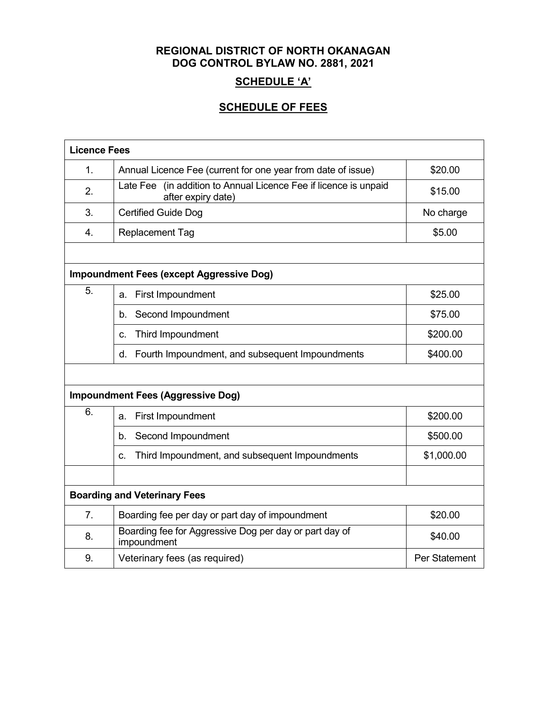## **REGIONAL DISTRICT OF NORTH OKANAGAN DOG CONTROL BYLAW NO. 2881, 2021**

## **SCHEDULE 'A'**

## **SCHEDULE OF FEES**

| <b>Licence Fees</b>                 |                                                                                           |               |  |  |
|-------------------------------------|-------------------------------------------------------------------------------------------|---------------|--|--|
| 1.                                  | Annual Licence Fee (current for one year from date of issue)                              | \$20.00       |  |  |
| 2.                                  | (in addition to Annual Licence Fee if licence is unpaid<br>Late Fee<br>after expiry date) | \$15.00       |  |  |
| 3.                                  | <b>Certified Guide Dog</b>                                                                | No charge     |  |  |
| $\overline{4}$ .                    | <b>Replacement Tag</b>                                                                    | \$5.00        |  |  |
|                                     |                                                                                           |               |  |  |
|                                     | <b>Impoundment Fees (except Aggressive Dog)</b>                                           |               |  |  |
| 5.                                  | First Impoundment<br>a.                                                                   | \$25.00       |  |  |
|                                     | Second Impoundment<br>b.                                                                  | \$75.00       |  |  |
|                                     | Third Impoundment<br>C.                                                                   | \$200.00      |  |  |
|                                     | Fourth Impoundment, and subsequent Impoundments<br>d.                                     | \$400.00      |  |  |
|                                     |                                                                                           |               |  |  |
|                                     | <b>Impoundment Fees (Aggressive Dog)</b>                                                  |               |  |  |
| 6.                                  | First Impoundment<br>a.                                                                   | \$200.00      |  |  |
|                                     | Second Impoundment<br>b.                                                                  | \$500.00      |  |  |
|                                     | Third Impoundment, and subsequent Impoundments<br>C.                                      | \$1,000.00    |  |  |
|                                     |                                                                                           |               |  |  |
| <b>Boarding and Veterinary Fees</b> |                                                                                           |               |  |  |
| 7.                                  | Boarding fee per day or part day of impoundment                                           | \$20.00       |  |  |
| 8.                                  | Boarding fee for Aggressive Dog per day or part day of<br>impoundment                     | \$40.00       |  |  |
| 9.                                  | Veterinary fees (as required)                                                             | Per Statement |  |  |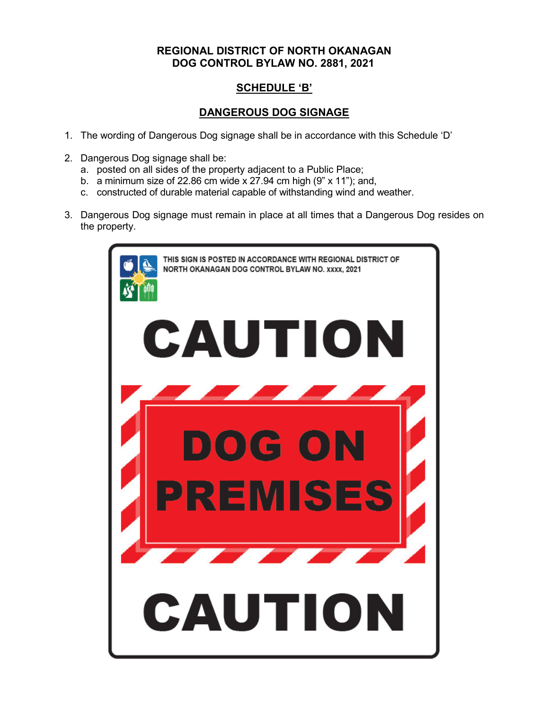## **REGIONAL DISTRICT OF NORTH OKANAGAN DOG CONTROL BYLAW NO. 2881, 2021**

## **SCHEDULE 'B'**

## **DANGEROUS DOG SIGNAGE**

- 1. The wording of Dangerous Dog signage shall be in accordance with this Schedule 'D'
- 2. Dangerous Dog signage shall be:
	- a. posted on all sides of the property adjacent to a Public Place;
	- b. a minimum size of 22.86 cm wide  $x$  27.94 cm high (9"  $x$  11"); and,
	- c. constructed of durable material capable of withstanding wind and weather.
- 3. Dangerous Dog signage must remain in place at all times that a Dangerous Dog resides on the property.

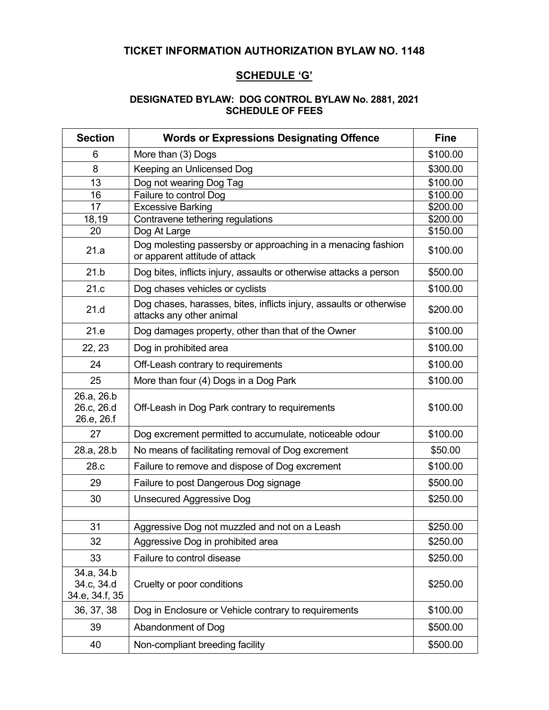## **TICKET INFORMATION AUTHORIZATION BYLAW NO. 1148**

## **SCHEDULE 'G'**

## **DESIGNATED BYLAW: DOG CONTROL BYLAW No. 2881, 2021 SCHEDULE OF FEES**

| <b>Section</b>                             | <b>Words or Expressions Designating Offence</b>                                                 | <b>Fine</b> |
|--------------------------------------------|-------------------------------------------------------------------------------------------------|-------------|
| 6                                          | More than (3) Dogs                                                                              | \$100.00    |
| 8                                          | Keeping an Unlicensed Dog                                                                       | \$300.00    |
| 13                                         | Dog not wearing Dog Tag                                                                         | \$100.00    |
| 16                                         | Failure to control Dog                                                                          | \$100.00    |
| 17                                         | <b>Excessive Barking</b>                                                                        | \$200.00    |
| 18,19                                      | Contravene tethering regulations                                                                | \$200.00    |
| 20                                         | Dog At Large                                                                                    | \$150.00    |
| 21.a                                       | Dog molesting passersby or approaching in a menacing fashion<br>or apparent attitude of attack  | \$100.00    |
| 21.b                                       | Dog bites, inflicts injury, assaults or otherwise attacks a person                              | \$500.00    |
| 21.c                                       | Dog chases vehicles or cyclists                                                                 | \$100.00    |
| 21.d                                       | Dog chases, harasses, bites, inflicts injury, assaults or otherwise<br>attacks any other animal | \$200.00    |
| 21.e                                       | Dog damages property, other than that of the Owner                                              | \$100.00    |
| 22, 23                                     | Dog in prohibited area                                                                          | \$100.00    |
| 24                                         | Off-Leash contrary to requirements                                                              | \$100.00    |
| 25                                         | More than four (4) Dogs in a Dog Park                                                           | \$100.00    |
| 26.a, 26.b<br>26.c, 26.d<br>26.e, 26.f     | Off-Leash in Dog Park contrary to requirements                                                  | \$100.00    |
| 27                                         | Dog excrement permitted to accumulate, noticeable odour                                         | \$100.00    |
| 28.a, 28.b                                 | No means of facilitating removal of Dog excrement                                               | \$50.00     |
| 28.c                                       | Failure to remove and dispose of Dog excrement                                                  | \$100.00    |
| 29                                         | Failure to post Dangerous Dog signage                                                           | \$500.00    |
| 30                                         | <b>Unsecured Aggressive Dog</b>                                                                 | \$250.00    |
|                                            |                                                                                                 |             |
| 31                                         | Aggressive Dog not muzzled and not on a Leash                                                   | \$250.00    |
| 32                                         | Aggressive Dog in prohibited area                                                               | \$250.00    |
| 33                                         | Failure to control disease                                                                      | \$250.00    |
| 34.a, 34.b<br>34.c, 34.d<br>34.e, 34.f, 35 | Cruelty or poor conditions                                                                      | \$250.00    |
| 36, 37, 38                                 | Dog in Enclosure or Vehicle contrary to requirements                                            | \$100.00    |
| 39                                         | Abandonment of Dog                                                                              | \$500.00    |
| 40                                         | Non-compliant breeding facility                                                                 | \$500.00    |